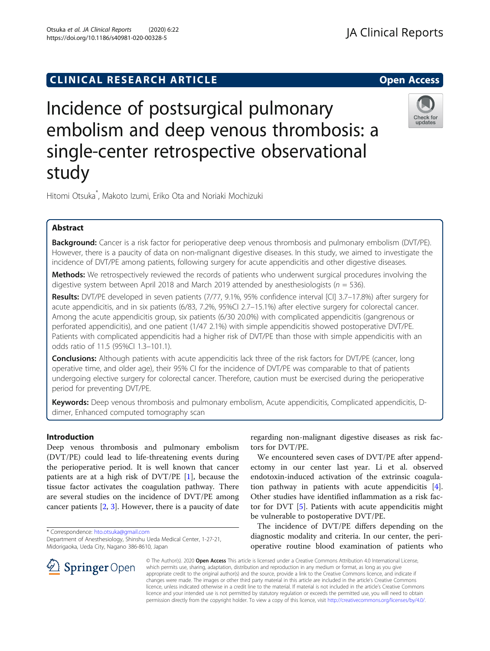# **CLINICAL RESEARCH ARTICLE CLINICAL RESEARCH ARTICLE**

# Incidence of postsurgical pulmonary embolism and deep venous thrombosis: a single-center retrospective observational study

Hitomi Otsuka\* , Makoto Izumi, Eriko Ota and Noriaki Mochizuki

# Abstract

Background: Cancer is a risk factor for perioperative deep venous thrombosis and pulmonary embolism (DVT/PE). However, there is a paucity of data on non-malignant digestive diseases. In this study, we aimed to investigate the incidence of DVT/PE among patients, following surgery for acute appendicitis and other digestive diseases.

**Methods:** We retrospectively reviewed the records of patients who underwent surgical procedures involving the digestive system between April 2018 and March 2019 attended by anesthesiologists ( $n = 536$ ).

Results: DVT/PE developed in seven patients (7/77, 9.1%, 95% confidence interval [CI] 3.7–17.8%) after surgery for acute appendicitis, and in six patients (6/83, 7.2%, 95%CI 2.7–15.1%) after elective surgery for colorectal cancer. Among the acute appendicitis group, six patients (6/30 20.0%) with complicated appendicitis (gangrenous or perforated appendicitis), and one patient (1/47 2.1%) with simple appendicitis showed postoperative DVT/PE. Patients with complicated appendicitis had a higher risk of DVT/PE than those with simple appendicitis with an odds ratio of 11.5 (95%CI 1.3–101.1).

**Conclusions:** Although patients with acute appendicitis lack three of the risk factors for DVT/PE (cancer, long operative time, and older age), their 95% CI for the incidence of DVT/PE was comparable to that of patients undergoing elective surgery for colorectal cancer. Therefore, caution must be exercised during the perioperative period for preventing DVT/PE.

Keywords: Deep venous thrombosis and pulmonary embolism, Acute appendicitis, Complicated appendicitis, Ddimer, Enhanced computed tomography scan

# Introduction

Deep venous thrombosis and pulmonary embolism (DVT/PE) could lead to life-threatening events during the perioperative period. It is well known that cancer patients are at a high risk of DVT/PE [[1\]](#page-4-0), because the tissue factor activates the coagulation pathway. There are several studies on the incidence of DVT/PE among cancer patients [[2](#page-4-0), [3\]](#page-4-0). However, there is a paucity of date

\* Correspondence: [hto.otsuka@gmail.com](mailto:hto.otsuka@gmail.com)

Department of Anesthesiology, Shinshu Ueda Medical Center, 1-27-21, Midorigaoka, Ueda City, Nagano 386-8610, Japan

regarding non-malignant digestive diseases as risk factors for DVT/PE.

We encountered seven cases of DVT/PE after appendectomy in our center last year. Li et al. observed endotoxin-induced activation of the extrinsic coagulation pathway in patients with acute appendicitis [\[4](#page-4-0)]. Other studies have identified inflammation as a risk factor for DVT [[5\]](#page-4-0). Patients with acute appendicitis might be vulnerable to postoperative DVT/PE.

The incidence of DVT/PE differs depending on the diagnostic modality and criteria. In our center, the perioperative routine blood examination of patients who

© The Author(s). 2020 Open Access This article is licensed under a Creative Commons Attribution 4.0 International License, which permits use, sharing, adaptation, distribution and reproduction in any medium or format, as long as you give appropriate credit to the original author(s) and the source, provide a link to the Creative Commons licence, and indicate if changes were made. The images or other third party material in this article are included in the article's Creative Commons licence, unless indicated otherwise in a credit line to the material. If material is not included in the article's Creative Commons licence and your intended use is not permitted by statutory regulation or exceeds the permitted use, you will need to obtain permission directly from the copyright holder. To view a copy of this licence, visit <http://creativecommons.org/licenses/by/4.0/>.







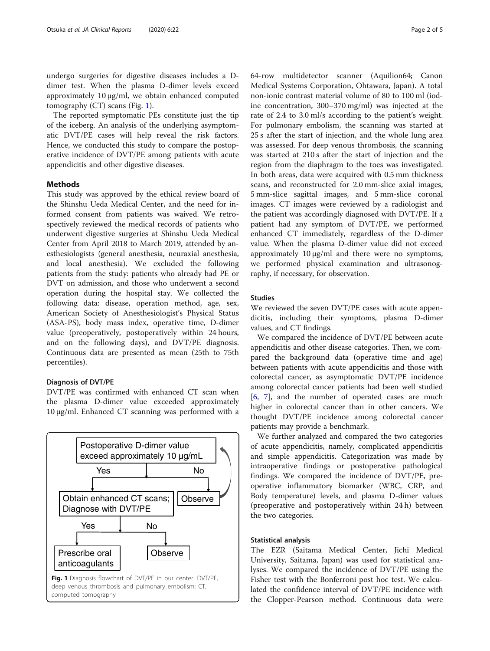undergo surgeries for digestive diseases includes a Ddimer test. When the plasma D-dimer levels exceed approximately 10 μg/ml, we obtain enhanced computed tomography (CT) scans (Fig. 1).

The reported symptomatic PEs constitute just the tip of the iceberg. An analysis of the underlying asymptomatic DVT/PE cases will help reveal the risk factors. Hence, we conducted this study to compare the postoperative incidence of DVT/PE among patients with acute appendicitis and other digestive diseases.

# Methods

This study was approved by the ethical review board of the Shinshu Ueda Medical Center, and the need for informed consent from patients was waived. We retrospectively reviewed the medical records of patients who underwent digestive surgeries at Shinshu Ueda Medical Center from April 2018 to March 2019, attended by anesthesiologists (general anesthesia, neuraxial anesthesia, and local anesthesia). We excluded the following patients from the study: patients who already had PE or DVT on admission, and those who underwent a second operation during the hospital stay. We collected the following data: disease, operation method, age, sex, American Society of Anesthesiologist's Physical Status (ASA-PS), body mass index, operative time, D-dimer value (preoperatively, postoperatively within 24 hours, and on the following days), and DVT/PE diagnosis. Continuous data are presented as mean (25th to 75th percentiles).

# Diagnosis of DVT/PE

DVT/PE was confirmed with enhanced CT scan when the plasma D-dimer value exceeded approximately 10 μg/ml. Enhanced CT scanning was performed with a



64-row multidetector scanner (Aquilion64; Canon Medical Systems Corporation, Ohtawara, Japan). A total non-ionic contrast material volume of 80 to 100 ml (iodine concentration, 300–370 mg/ml) was injected at the rate of 2.4 to 3.0 ml/s according to the patient's weight. For pulmonary embolism, the scanning was started at 25 s after the start of injection, and the whole lung area was assessed. For deep venous thrombosis, the scanning was started at 210 s after the start of injection and the region from the diaphragm to the toes was investigated. In both areas, data were acquired with 0.5 mm thickness scans, and reconstructed for 2.0 mm-slice axial images, 5 mm-slice sagittal images, and 5 mm-slice coronal images. CT images were reviewed by a radiologist and the patient was accordingly diagnosed with DVT/PE. If a patient had any symptom of DVT/PE, we performed enhanced CT immediately, regardless of the D-dimer value. When the plasma D-dimer value did not exceed approximately 10 μg/ml and there were no symptoms, we performed physical examination and ultrasonography, if necessary, for observation.

## Studies

We reviewed the seven DVT/PE cases with acute appendicitis, including their symptoms, plasma D-dimer values, and CT findings.

We compared the incidence of DVT/PE between acute appendicitis and other disease categories. Then, we compared the background data (operative time and age) between patients with acute appendicitis and those with colorectal cancer, as asymptomatic DVT/PE incidence among colorectal cancer patients had been well studied [[6,](#page-4-0) [7\]](#page-4-0), and the number of operated cases are much higher in colorectal cancer than in other cancers. We thought DVT/PE incidence among colorectal cancer patients may provide a benchmark.

We further analyzed and compared the two categories of acute appendicitis, namely, complicated appendicitis and simple appendicitis. Categorization was made by intraoperative findings or postoperative pathological findings. We compared the incidence of DVT/PE, preoperative inflammatory biomarker (WBC, CRP, and Body temperature) levels, and plasma D-dimer values (preoperative and postoperatively within 24 h) between the two categories.

## Statistical analysis

The EZR (Saitama Medical Center, Jichi Medical University, Saitama, Japan) was used for statistical analyses. We compared the incidence of DVT/PE using the Fisher test with the Bonferroni post hoc test. We calculated the confidence interval of DVT/PE incidence with the Clopper-Pearson method. Continuous data were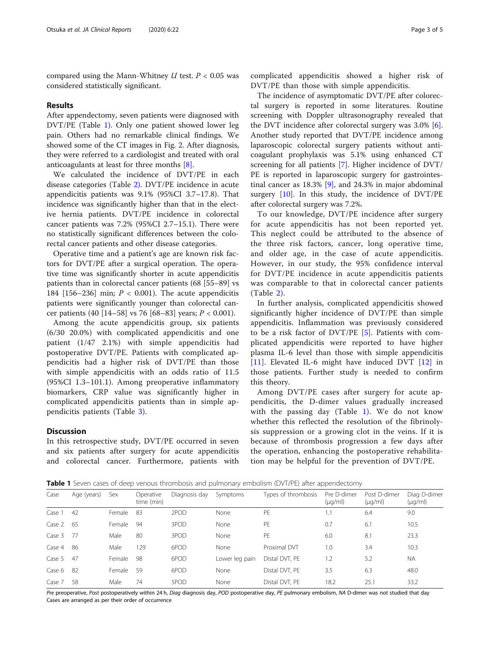compared using the Mann-Whitney  $U$  test.  $P < 0.05$  was considered statistically significant.

#### Results

After appendectomy, seven patients were diagnosed with DVT/PE (Table 1). Only one patient showed lower leg pain. Others had no remarkable clinical findings. We showed some of the CT images in Fig. [2.](#page-3-0) After diagnosis, they were referred to a cardiologist and treated with oral anticoagulants at least for three months [[8\]](#page-4-0).

We calculated the incidence of DVT/PE in each disease categories (Table [2\)](#page-3-0). DVT/PE incidence in acute appendicitis patients was 9.1% (95%CI 3.7–17.8). That incidence was significantly higher than that in the elective hernia patients. DVT/PE incidence in colorectal cancer patients was 7.2% (95%CI 2.7–15.1). There were no statistically significant differences between the colorectal cancer patients and other disease categories.

Operative time and a patient's age are known risk factors for DVT/PE after a surgical operation. The operative time was significantly shorter in acute appendicitis patients than in colorectal cancer patients (68 [55–89] vs 184  $[156-236]$  min;  $P < 0.001$ ). The acute appendicitis patients were significantly younger than colorectal cancer patients (40 [14–58] vs 76 [68–83] years;  $P < 0.001$ ).

Among the acute appendicitis group, six patients (6/30 20.0%) with complicated appendicitis and one patient (1/47 2.1%) with simple appendicitis had postoperative DVT/PE. Patients with complicated appendicitis had a higher risk of DVT/PE than those with simple appendicitis with an odds ratio of 11.5 (95%CI 1.3–101.1). Among preoperative inflammatory biomarkers, CRP value was significantly higher in complicated appendicitis patients than in simple appendicitis patients (Table [3](#page-3-0)).

## Discussion

In this retrospective study, DVT/PE occurred in seven and six patients after surgery for acute appendicitis and colorectal cancer. Furthermore, patients with

complicated appendicitis showed a higher risk of DVT/PE than those with simple appendicitis.

The incidence of asymptomatic DVT/PE after colorectal surgery is reported in some literatures. Routine screening with Doppler ultrasonography revealed that the DVT incidence after colorectal surgery was 3.0% [\[6](#page-4-0)]. Another study reported that DVT/PE incidence among laparoscopic colorectal surgery patients without anticoagulant prophylaxis was 5.1% using enhanced CT screening for all patients [[7\]](#page-4-0). Higher incidence of DVT/ PE is reported in laparoscopic surgery for gastrointestinal cancer as 18.3% [\[9\]](#page-4-0), and 24.3% in major abdominal surgery  $[10]$  $[10]$ . In this study, the incidence of  $DVT/PE$ after colorectal surgery was 7.2%.

To our knowledge, DVT/PE incidence after surgery for acute appendicitis has not been reported yet. This neglect could be attributed to the absence of the three risk factors, cancer, long operative time, and older age, in the case of acute appendicitis. However, in our study, the 95% confidence interval for DVT/PE incidence in acute appendicitis patients was comparable to that in colorectal cancer patients (Table [2](#page-3-0)).

In further analysis, complicated appendicitis showed significantly higher incidence of DVT/PE than simple appendicitis. Inflammation was previously considered to be a risk factor of DVT/PE [[5\]](#page-4-0). Patients with complicated appendicitis were reported to have higher plasma IL-6 level than those with simple appendicitis [[11\]](#page-4-0). Elevated IL-6 might have induced DVT [\[12](#page-4-0)] in those patients. Further study is needed to confirm this theory.

Among DVT/PE cases after surgery for acute appendicitis, the D-dimer values gradually increased with the passing day (Table 1). We do not know whether this reflected the resolution of the fibrinolysis suppression or a growing clot in the veins. If it is because of thrombosis progression a few days after the operation, enhancing the postoperative rehabilitation may be helpful for the prevention of DVT/PE.

**Table 1** Seven cases of deep venous thrombosis and pulmonary embolism (DVT/PE) after appendectomy

| Case   | Age (years) | Sex    | Operative<br>time (min) | Diagnosis day | Symptoms       | Types of thrombosis | Pre D-dimer<br>$(\mu q/ml)$ | Post D-dimer<br>$(\mu q/ml)$ | Diag D-dimer<br>$(\mu q/ml)$ |
|--------|-------------|--------|-------------------------|---------------|----------------|---------------------|-----------------------------|------------------------------|------------------------------|
| Case 1 | 42          | Female | -83                     | 2POD          | None           | PF                  |                             | 6.4                          | 9.0                          |
| Case 2 | -65         | Female | 94                      | 3POD          | None           | PE                  | 0.7                         | 6.1                          | 10.5                         |
| Case 3 | - 77        | Male   | 80                      | 3POD          | None           | PF                  | 6.0                         | 8.1                          | 23.3                         |
| Case 4 | -86         | Male   | 129                     | 6POD          | None           | Proximal DVT        | 1.0                         | 3.4                          | 10.3                         |
| Case 5 | 47          | Female | 98                      | 6POD          | Lower leg pain | Distal DVT, PE      | 1.2                         | 5.2                          | <b>NA</b>                    |
| Case 6 | -82         | Female | 59                      | 6POD          | None           | Distal DVT, PE      | 3.5                         | 6.3                          | 48.0                         |
| Case 7 | 58          | Male   | 74                      | 5POD          | None           | Distal DVT. PE      | 18.2                        | 25.1                         | 33.2                         |

Pre preoperative, Post postoperatively within 24 h, Diag diagnosis day, POD postoperative day, PE pulmonary embolism, NA D-dimer was not studied that day Cases are arranged as per their order of occurrence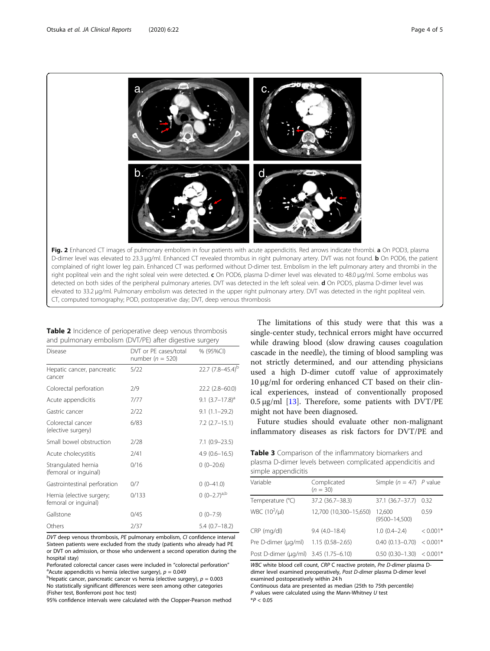<span id="page-3-0"></span>

|                                                         |  |  | Table 2 Incidence of perioperative deep venous thrombosis |
|---------------------------------------------------------|--|--|-----------------------------------------------------------|
| and pulmonary embolism (DVT/PE) after digestive surgery |  |  |                                                           |

| DVT or PE cases/total<br>number ( $n = 520$ ) | % (95%CI)                     |
|-----------------------------------------------|-------------------------------|
| 5/22                                          | 22.7 (7.8-45.4) <sup>b</sup>  |
| 2/9                                           | $22.2(2.8-60.0)$              |
| 7/77                                          | 9.1 $(3.7-17.8)$ <sup>d</sup> |
| 2/22                                          | $9.1(1.1-29.2)$               |
| 6/83                                          | $7.2$ $(2.7-15.1)$            |
| 2/28                                          | $7.1(0.9 - 23.5)$             |
| 2/41                                          | $4.9(0.6 - 16.5)$             |
| 0/16                                          | $0(0-20.6)$                   |
| 0/7                                           | $0(0-41.0)$                   |
| 0/133                                         | $0 (0-2.7)^{a,b}$             |
| 0/45                                          | $0(0-7.9)$                    |
| 2/37                                          | $5.4(0.7-18.2)$               |
|                                               |                               |

DVT deep venous thrombosis, PE pulmonary embolism, CI confidence interval Sixteen patients were excluded from the study (patients who already had PE or DVT on admission, or those who underwent a second operation during the hospital stay)

Perforated colorectal cancer cases were included in "colorectal perforation" <sup>a</sup> Acute appendicitis vs hernia (elective surgery),  $p = 0.049$ 

<sup>b</sup>Hepatic cancer, pancreatic cancer vs hernia (elective surgery),  $p = 0.003$ No statistically significant differences were seen among other categories (Fisher test, Bonferroni post hoc test)

95% confidence intervals were calculated with the Clopper-Pearson method

The limitations of this study were that this was a single-center study, technical errors might have occurred while drawing blood (slow drawing causes coagulation cascade in the needle), the timing of blood sampling was not strictly determined, and our attending physicians used a high D-dimer cutoff value of approximately 10 μg/ml for ordering enhanced CT based on their clinical experiences, instead of conventionally proposed  $0.5 \mu$ g/ml [[13\]](#page-4-0). Therefore, some patients with DVT/PE might not have been diagnosed.

Future studies should evaluate other non-malignant inflammatory diseases as risk factors for DVT/PE and

Table 3 Comparison of the inflammatory biomarkers and plasma D-dimer levels between complicated appendicitis and simple appendicitis

| Variable                              | Complicated<br>$(n = 30)$ | Simple ( $n = 47$ ) P value |            |
|---------------------------------------|---------------------------|-----------------------------|------------|
| Temperature (°C)                      | 37.2 (36.7-38.3)          | 37.1 (36.7-37.7)            | 0.32       |
| WBC (10 <sup>2</sup> /µl)             | 12,700 (10,300-15,650)    | 12,600<br>$(9500 - 14,500)$ | 0.59       |
| CRP (mg/dl)                           | $9.4(4.0 - 18.4)$         | $1.0(0.4 - 2.4)$            | $< 0.001*$ |
| Pre D-dimer (µg/ml)                   | $1.15(0.58 - 2.65)$       | $0.40(0.13 - 0.70)$         | $< 0.001*$ |
| Post D-dimer (µg/ml) 3.45 (1.75–6.10) |                           | $0.50(0.30 - 1.30)$         | $< 0.001*$ |

WBC white blood cell count, CRP C reactive protein, Pre D-dimer plasma Ddimer level examined preoperatively, Post D-dimer plasma D-dimer level examined postoperatively within 24 h

Continuous data are presented as median (25th to 75th percentile)  $P$  values were calculated using the Mann-Whitney  $U$  test

 $*P < 0.05$